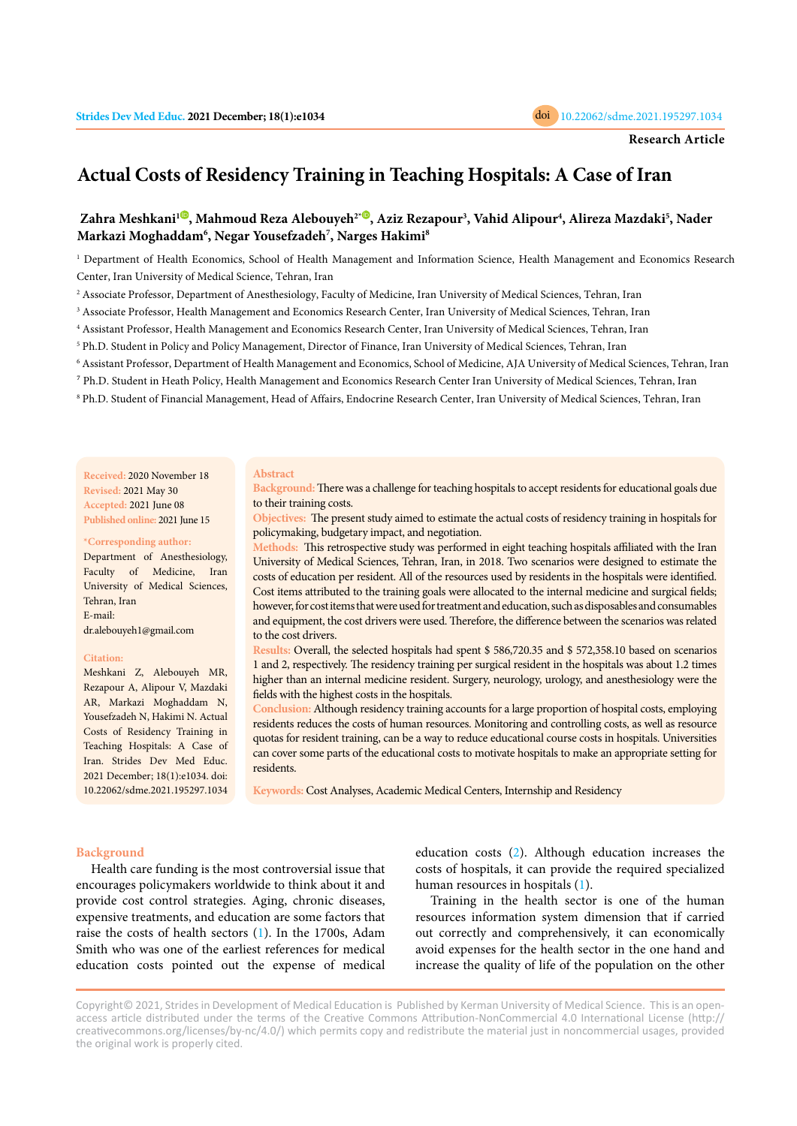

# **Actual Costs of Residency Training in Teaching Hospitals: A Case of Iran**

# Zahra Meshkani<sup>1</sup><sup>0</sup>[,](https://orcid.org/0000-0002-6791-2579) Mahmoud Reza Alebouyeh<sup>2</sup><sup>-0</sup>, Aziz Rezapour<sup>3</sup>, Vahid Alipour<sup>4</sup>, Alireza Mazdaki<sup>5</sup>, Nader **Markazi Moghaddam6 , Negar Yousefzadeh7 , Narges Hakimi8**

1 Department of Health Economics, School of Health Management and Information Science, Health Management and Economics Research Center, Iran University of Medical Science, Tehran, Iran

2 Associate Professor, Department of Anesthesiology, Faculty of Medicine, Iran University of Medical Sciences, Tehran, Iran

3 Associate Professor, Health Management and Economics Research Center, Iran University of Medical Sciences, Tehran, Iran

4 Assistant Professor, Health Management and Economics Research Center, Iran University of Medical Sciences, Tehran, Iran

5 Ph.D. Student in Policy and Policy Management, Director of Finance, Iran University of Medical Sciences, Tehran, Iran

6 Assistant Professor, Department of Health Management and Economics, School of Medicine, AJA University of Medical Sciences, Tehran, Iran

⁷ Ph.D. Student in Heath Policy, Health Management and Economics Research Center Iran University of Medical Sciences, Tehran, Iran

8 Ph.D. Student of Financial Management, Head of Affairs, Endocrine Research Center, Iran University of Medical Sciences, Tehran, Iran

#### **Abstract**

**Received:** 2020 November 18 **Revised:** 2021 May 30 **Accepted:** 2021 June 08 **Published online:** 2021 June 15

#### **\*Corresponding author:**

Department of Anesthesiology, Faculty of Medicine, Iran University of Medical Sciences, Tehran, Iran E-mail: dr.alebouyeh1@gmail.com

#### **Citation:**

Meshkani Z, Alebouyeh MR, Rezapour A, Alipour V, Mazdaki AR, Markazi Moghaddam N, Yousefzadeh N, Hakimi N. Actual Costs of Residency Training in Teaching Hospitals: A Case of Iran. Strides Dev Med Educ. 2021 December; 18(1):e1034. doi: 10.22062/sdme.2021.195297.1034

**Background:** There was a challenge for teaching hospitals to accept residents for educational goals due to their training costs.

**Objectives:** The present study aimed to estimate the actual costs of residency training in hospitals for policymaking, budgetary impact, and negotiation.

**Methods:** This retrospective study was performed in eight teaching hospitals affiliated with the Iran University of Medical Sciences, Tehran, Iran, in 2018. Two scenarios were designed to estimate the costs of education per resident. All of the resources used by residents in the hospitals were identified. Cost items attributed to the training goals were allocated to the internal medicine and surgical fields; however, for cost items that were used for treatment and education, such as disposables and consumables and equipment, the cost drivers were used. Therefore, the difference between the scenarios was related to the cost drivers.

**Results:** Overall, the selected hospitals had spent \$ 586,720.35 and \$ 572,358.10 based on scenarios 1 and 2, respectively. The residency training per surgical resident in the hospitals was about 1.2 times higher than an internal medicine resident. Surgery, neurology, urology, and anesthesiology were the fields with the highest costs in the hospitals.

**Conclusion:** Although residency training accounts for a large proportion of hospital costs, employing residents reduces the costs of human resources. Monitoring and controlling costs, as well as resource quotas for resident training, can be a way to reduce educational course costs in hospitals. Universities can cover some parts of the educational costs to motivate hospitals to make an appropriate setting for residents.

**Keywords:** Cost Analyses, Academic Medical Centers, Internship and Residency

#### **Background**

Health care funding is the most controversial issue that encourages policymakers worldwide to think about it and provide cost control strategies. Aging, chronic diseases, expensive treatments, and education are some factors that raise the costs of health sectors [\(1](#page-6-0)). In the 1700s, Adam Smith who was one of the earliest references for medical education costs pointed out the expense of medical education costs [\(2](#page-6-0)). Although education increases the costs of hospitals, it can provide the required specialized human resources in hospitals ([1](#page-6-0)).

Training in the health sector is one of the human resources information system dimension that if carried out correctly and comprehensively, it can economically avoid expenses for the health sector in the one hand and increase the quality of life of the population on the other

Copyright© 2021, Strides in Development of Medical Education is Published by Kerman University of Medical Science. This is an openaccess article distributed under the terms of the Creative Commons Attribution-NonCommercial 4.0 International License (http:// creativecommons.org/licenses/by-nc/4.0/) which permits copy and redistribute the material just in noncommercial usages, provided the original work is properly cited.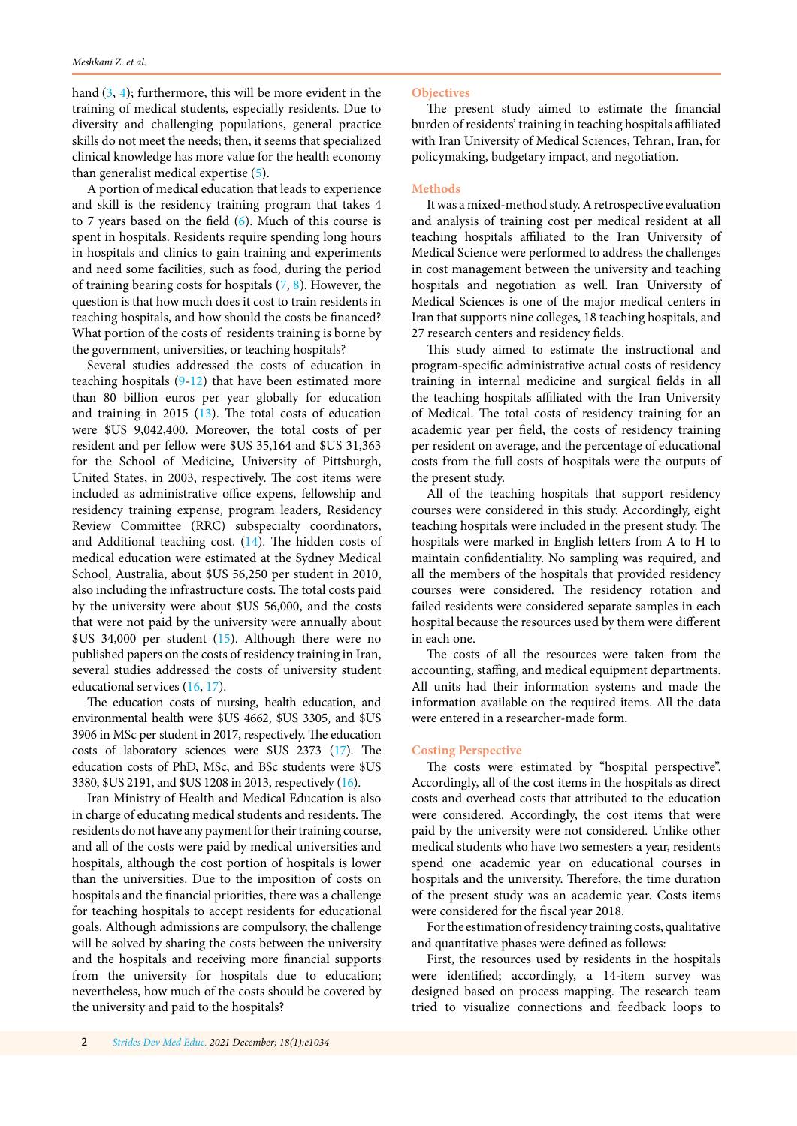hand ([3, 4](#page-6-0)); furthermore, this will be more evident in the training of medical students, especially residents. Due to diversity and challenging populations, general practice skills do not meet the needs; then, it seems that specialized clinical knowledge has more value for the health economy than generalist medical expertise ([5\)](#page-6-0).

A portion of medical education that leads to experience and skill is the residency training program that takes 4 to 7 years based on the field [\(6](#page-6-0)). Much of this course is spent in hospitals. Residents require spending long hours in hospitals and clinics to gain training and experiments and need some facilities, such as food, during the period of training bearing costs for hospitals [\(7](#page-6-0), [8\)](#page-6-0). However, the question is that how much does it cost to train residents in teaching hospitals, and how should the costs be financed? What portion of the costs of residents training is borne by the government, universities, or teaching hospitals?

Several studies addressed the costs of education in teaching hospitals ([9](#page-6-0)-[12\)](#page-6-0) that have been estimated more than 80 billion euros per year globally for education and training in 2015 [\(13](#page-7-0)). The total costs of education were \$US 9,042,400. Moreover, the total costs of per resident and per fellow were \$US 35,164 and \$US 31,363 for the School of Medicine, University of Pittsburgh, United States, in 2003, respectively. The cost items were included as administrative office expens, fellowship and residency training expense, program leaders, Residency Review Committee (RRC) subspecialty coordinators, and Additional teaching cost.  $(14)$ . The hidden costs of medical education were estimated at the Sydney Medical School, Australia, about \$US 56,250 per student in 2010, also including the infrastructure costs. The total costs paid by the university were about \$US 56,000, and the costs that were not paid by the university were annually about \$US 34,000 per student ([15](#page-7-0)). Although there were no published papers on the costs of residency training in Iran, several studies addressed the costs of university student educational services ([16](#page-7-0), [17](#page-7-0)).

The education costs of nursing, health education, and environmental health were \$US 4662, \$US 3305, and \$US 3906 in MSc per student in 2017, respectively. The education costs of laboratory sciences were \$US 2373 [\(17\)](#page-7-0). The education costs of PhD, MSc, and BSc students were \$US 3380, \$US 2191, and \$US 1208 in 2013, respectively [\(16](#page-7-0)).

Iran Ministry of Health and Medical Education is also in charge of educating medical students and residents. The residents do not have any payment for their training course, and all of the costs were paid by medical universities and hospitals, although the cost portion of hospitals is lower than the universities. Due to the imposition of costs on hospitals and the financial priorities, there was a challenge for teaching hospitals to accept residents for educational goals. Although admissions are compulsory, the challenge will be solved by sharing the costs between the university and the hospitals and receiving more financial supports from the university for hospitals due to education; nevertheless, how much of the costs should be covered by the university and paid to the hospitals?

## **Objectives**

The present study aimed to estimate the financial burden of residents' training in teaching hospitals affiliated with Iran University of Medical Sciences, Tehran, Iran, for policymaking, budgetary impact, and negotiation.

#### **Methods**

It was a mixed-method study. A retrospective evaluation and analysis of training cost per medical resident at all teaching hospitals affiliated to the Iran University of Medical Science were performed to address the challenges in cost management between the university and teaching hospitals and negotiation as well. Iran University of Medical Sciences is one of the major medical centers in Iran that supports nine colleges, 18 teaching hospitals, and 27 research centers and residency fields.

This study aimed to estimate the instructional and program-specific administrative actual costs of residency training in internal medicine and surgical fields in all the teaching hospitals affiliated with the Iran University of Medical. The total costs of residency training for an academic year per field, the costs of residency training per resident on average, and the percentage of educational costs from the full costs of hospitals were the outputs of the present study.

All of the teaching hospitals that support residency courses were considered in this study. Accordingly, eight teaching hospitals were included in the present study. The hospitals were marked in English letters from A to H to maintain confidentiality. No sampling was required, and all the members of the hospitals that provided residency courses were considered. The residency rotation and failed residents were considered separate samples in each hospital because the resources used by them were different in each one.

The costs of all the resources were taken from the accounting, staffing, and medical equipment departments. All units had their information systems and made the information available on the required items. All the data were entered in a researcher-made form.

#### **Costing Perspective**

The costs were estimated by "hospital perspective". Accordingly, all of the cost items in the hospitals as direct costs and overhead costs that attributed to the education were considered. Accordingly, the cost items that were paid by the university were not considered. Unlike other medical students who have two semesters a year, residents spend one academic year on educational courses in hospitals and the university. Therefore, the time duration of the present study was an academic year. Costs items were considered for the fiscal year 2018.

For the estimation of residency training costs, qualitative and quantitative phases were defined as follows:

First, the resources used by residents in the hospitals were identified; accordingly, a 14-item survey was designed based on process mapping. The research team tried to visualize connections and feedback loops to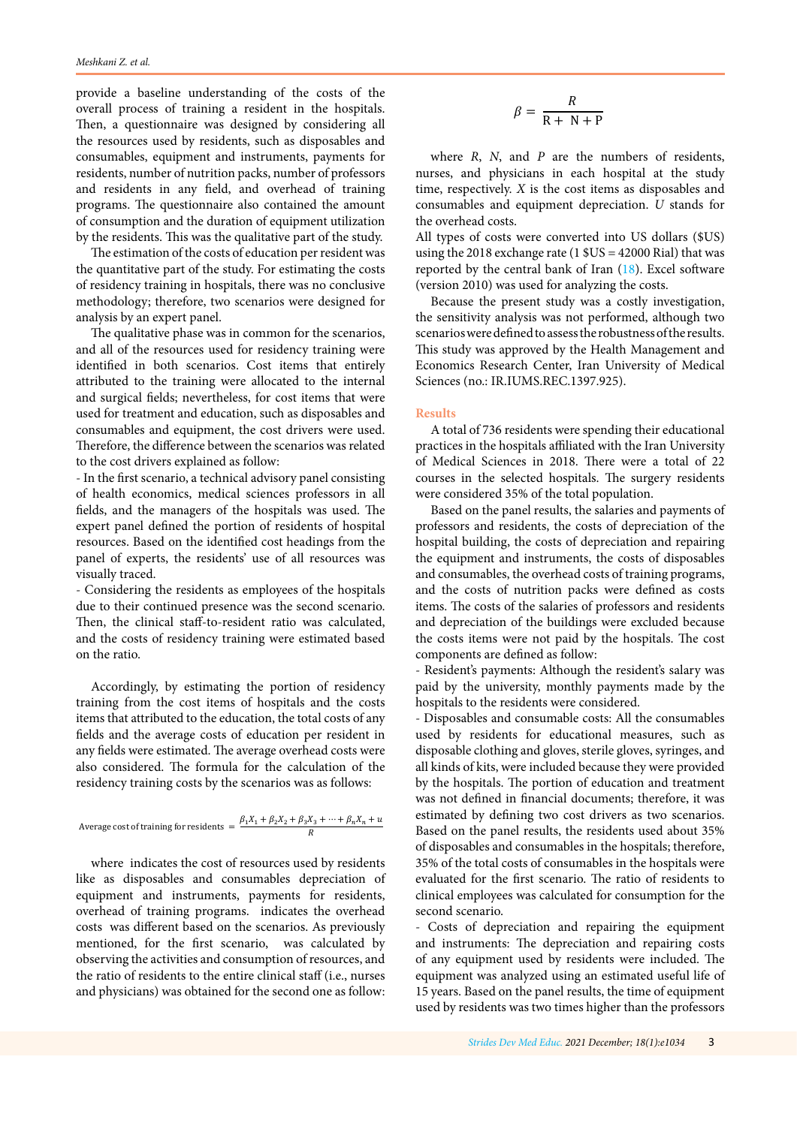provide a baseline understanding of the costs of the overall process of training a resident in the hospitals. Then, a questionnaire was designed by considering all the resources used by residents, such as disposables and consumables, equipment and instruments, payments for residents, number of nutrition packs, number of professors and residents in any field, and overhead of training programs. The questionnaire also contained the amount of consumption and the duration of equipment utilization by the residents. This was the qualitative part of the study.

The estimation of the costs of education per resident was the quantitative part of the study. For estimating the costs of residency training in hospitals, there was no conclusive methodology; therefore, two scenarios were designed for analysis by an expert panel.

The qualitative phase was in common for the scenarios, and all of the resources used for residency training were identified in both scenarios. Cost items that entirely attributed to the training were allocated to the internal and surgical fields; nevertheless, for cost items that were used for treatment and education, such as disposables and consumables and equipment, the cost drivers were used. Therefore, the difference between the scenarios was related to the cost drivers explained as follow:

- In the first scenario, a technical advisory panel consisting of health economics, medical sciences professors in all fields, and the managers of the hospitals was used. The expert panel defined the portion of residents of hospital resources. Based on the identified cost headings from the panel of experts, the residents' use of all resources was visually traced.

- Considering the residents as employees of the hospitals due to their continued presence was the second scenario. Then, the clinical staff-to-resident ratio was calculated, and the costs of residency training were estimated based on the ratio.

Accordingly, by estimating the portion of residency training from the cost items of hospitals and the costs items that attributed to the education, the total costs of any fields and the average costs of education per resident in any fields were estimated. The average overhead costs were also considered. The formula for the calculation of the residency training costs by the scenarios was as follows:

Average cost of training for residents = 
$$
\frac{\beta_1 X_1 + \beta_2 X_2 + \beta_3 X_3 + \dots + \beta_n X_n + u}{R}
$$

where indicates the cost of resources used by residents like as disposables and consumables depreciation of equipment and instruments, payments for residents, overhead of training programs. indicates the overhead costs was different based on the scenarios. As previously mentioned, for the first scenario, was calculated by observing the activities and consumption of resources, and the ratio of residents to the entire clinical staff (i.e., nurses and physicians) was obtained for the second one as follow:

$$
\beta = \frac{R}{R + N + P}
$$

where *R*, *N*, and *P* are the numbers of residents, nurses, and physicians in each hospital at the study time, respectively. *X* is the cost items as disposables and consumables and equipment depreciation. *U* stands for the overhead costs.

All types of costs were converted into US dollars (\$US) using the 2018 exchange rate (1 \$US = 42000 Rial) that was reported by the central bank of Iran ([18](#page-7-0)). Excel software (version 2010) was used for analyzing the costs.

Because the present study was a costly investigation, the sensitivity analysis was not performed, although two scenarios were defined to assess the robustness of the results. This study was approved by the Health Management and Economics Research Center, Iran University of Medical Sciences (no.: IR.IUMS.REC.1397.925).

#### **Results**

A total of 736 residents were spending their educational practices in the hospitals affiliated with the Iran University of Medical Sciences in 2018. There were a total of 22 courses in the selected hospitals. The surgery residents were considered 35% of the total population.

Based on the panel results, the salaries and payments of professors and residents, the costs of depreciation of the hospital building, the costs of depreciation and repairing the equipment and instruments, the costs of disposables and consumables, the overhead costs of training programs, and the costs of nutrition packs were defined as costs items. The costs of the salaries of professors and residents and depreciation of the buildings were excluded because the costs items were not paid by the hospitals. The cost components are defined as follow:

- Resident's payments: Although the resident's salary was paid by the university, monthly payments made by the hospitals to the residents were considered.

- Disposables and consumable costs: All the consumables used by residents for educational measures, such as disposable clothing and gloves, sterile gloves, syringes, and all kinds of kits, were included because they were provided by the hospitals. The portion of education and treatment was not defined in financial documents; therefore, it was estimated by defining two cost drivers as two scenarios. Based on the panel results, the residents used about 35% of disposables and consumables in the hospitals; therefore, 35% of the total costs of consumables in the hospitals were evaluated for the first scenario. The ratio of residents to clinical employees was calculated for consumption for the second scenario.

- Costs of depreciation and repairing the equipment and instruments: The depreciation and repairing costs of any equipment used by residents were included. The equipment was analyzed using an estimated useful life of 15 years. Based on the panel results, the time of equipment used by residents was two times higher than the professors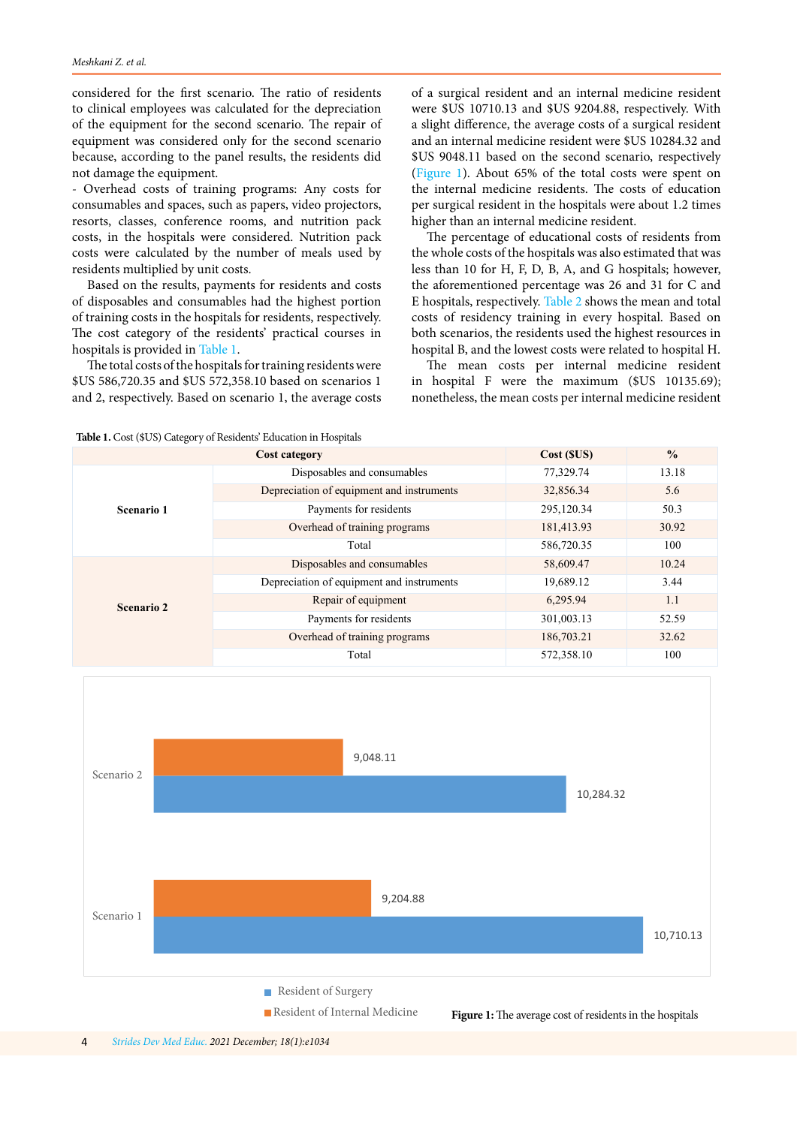considered for the first scenario. The ratio of residents to clinical employees was calculated for the depreciation of the equipment for the second scenario. The repair of equipment was considered only for the second scenario because, according to the panel results, the residents did not damage the equipment.

- Overhead costs of training programs: Any costs for consumables and spaces, such as papers, video projectors, resorts, classes, conference rooms, and nutrition pack costs, in the hospitals were considered. Nutrition pack costs were calculated by the number of meals used by residents multiplied by unit costs.

Based on the results, payments for residents and costs of disposables and consumables had the highest portion of training costs in the hospitals for residents, respectively. The cost category of the residents' practical courses in hospitals is provided in Table 1.

The total costs of the hospitals for training residents were \$US 586,720.35 and \$US 572,358.10 based on scenarios 1 and 2, respectively. Based on scenario 1, the average costs of a surgical resident and an internal medicine resident were \$US 10710.13 and \$US 9204.88, respectively. With a slight difference, the average costs of a surgical resident and an internal medicine resident were \$US 10284.32 and \$US 9048.11 based on the second scenario, respectively (Figure 1). About 65% of the total costs were spent on the internal medicine residents. The costs of education per surgical resident in the hospitals were about 1.2 times higher than an internal medicine resident.

The percentage of educational costs of residents from the whole costs of the hospitals was also estimated that was less than 10 for H, F, D, B, A, and G hospitals; however, the aforementioned percentage was 26 and 31 for C and E hospitals, respectively. [Table 2](#page-4-0) shows the mean and total costs of residency training in every hospital. Based on both scenarios, the residents used the highest resources in hospital B, and the lowest costs were related to hospital H.

The mean costs per internal medicine resident in hospital F were the maximum (\$US 10135.69); nonetheless, the mean costs per internal medicine resident

**Table 1.** Cost (\$US) Category of Residents' Education in Hospitals

| Cost category     |                                           | Cost (SUS) | $\frac{0}{0}$ |
|-------------------|-------------------------------------------|------------|---------------|
| Scenario 1        | Disposables and consumables               | 77,329.74  | 13.18         |
|                   | Depreciation of equipment and instruments | 32,856.34  | 5.6           |
|                   | Payments for residents                    | 295,120.34 | 50.3          |
|                   | Overhead of training programs             | 181,413.93 | 30.92         |
|                   | Total                                     | 586,720.35 | 100           |
| <b>Scenario 2</b> | Disposables and consumables               | 58,609.47  | 10.24         |
|                   | Depreciation of equipment and instruments | 19,689.12  | 3.44          |
|                   | Repair of equipment                       | 6,295.94   | 1.1           |
|                   | Payments for residents                    | 301,003.13 | 52.59         |
|                   | Overhead of training programs             | 186,703.21 | 32.62         |
|                   | Total                                     | 572,358.10 | 100           |

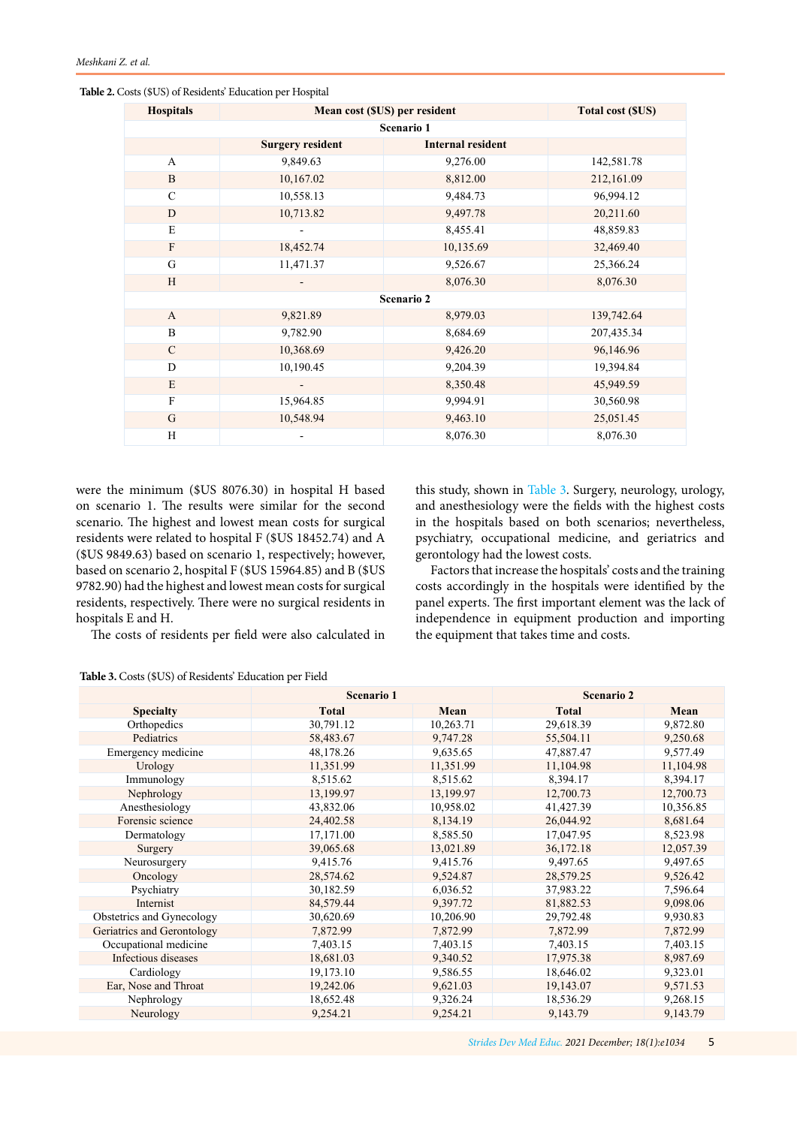| <b>Hospitals</b> | Mean cost (\$US) per resident |                          | <b>Total cost (SUS)</b> |  |  |  |  |
|------------------|-------------------------------|--------------------------|-------------------------|--|--|--|--|
| Scenario 1       |                               |                          |                         |  |  |  |  |
|                  | <b>Surgery resident</b>       | <b>Internal resident</b> |                         |  |  |  |  |
| $\overline{A}$   | 9,849.63                      | 9,276.00                 | 142,581.78              |  |  |  |  |
| $\mathbf B$      | 10,167.02                     | 8,812.00                 | 212,161.09              |  |  |  |  |
| $\mathbf C$      | 10,558.13                     | 9,484.73                 | 96,994.12               |  |  |  |  |
| D                | 10,713.82                     | 9,497.78                 | 20,211.60               |  |  |  |  |
| E                |                               | 8,455.41                 | 48,859.83               |  |  |  |  |
| ${\bf F}$        | 18,452.74                     | 10,135.69                | 32,469.40               |  |  |  |  |
| G                | 11,471.37                     | 9,526.67                 | 25,366.24               |  |  |  |  |
| H                |                               | 8,076.30                 | 8,076.30                |  |  |  |  |
| Scenario 2       |                               |                          |                         |  |  |  |  |
| $\mathbf{A}$     | 9,821.89                      | 8,979.03                 | 139,742.64              |  |  |  |  |
| B                | 9,782.90                      | 8,684.69                 | 207,435.34              |  |  |  |  |
| $\mathbf C$      | 10,368.69                     | 9,426.20                 | 96,146.96               |  |  |  |  |
| D                | 10,190.45                     | 9,204.39                 | 19,394.84               |  |  |  |  |
| E                |                               | 8,350.48                 | 45,949.59               |  |  |  |  |
| $\overline{F}$   | 15,964.85                     | 9,994.91                 | 30,560.98               |  |  |  |  |
| G                | 10,548.94                     | 9,463.10                 | 25,051.45               |  |  |  |  |
| H                |                               | 8,076.30                 | 8,076.30                |  |  |  |  |

<span id="page-4-0"></span>**Table 2.** Costs (\$US) of Residents' Education per Hospital

were the minimum (\$US 8076.30) in hospital H based on scenario 1. The results were similar for the second scenario. The highest and lowest mean costs for surgical residents were related to hospital F (\$US 18452.74) and A (\$US 9849.63) based on scenario 1, respectively; however, based on scenario 2, hospital F (\$US 15964.85) and B (\$US 9782.90) had the highest and lowest mean costs for surgical residents, respectively. There were no surgical residents in hospitals E and H.

this study, shown in Table 3. Surgery, neurology, urology, and anesthesiology were the fields with the highest costs in the hospitals based on both scenarios; nevertheless, psychiatry, occupational medicine, and geriatrics and gerontology had the lowest costs.

The costs of residents per field were also calculated in the equipment that takes time and costs.

Factors that increase the hospitals' costs and the training costs accordingly in the hospitals were identified by the panel experts. The first important element was the lack of independence in equipment production and importing

| Table 3. Costs (\$US) of Residents' Education per Field |  |
|---------------------------------------------------------|--|
|---------------------------------------------------------|--|

|                            | <b>Scenario 1</b> |           | <b>Scenario 2</b> |           |
|----------------------------|-------------------|-----------|-------------------|-----------|
| <b>Specialty</b>           | <b>Total</b>      | Mean      | <b>Total</b>      | Mean      |
| Orthopedics                | 30,791.12         | 10,263.71 | 29,618.39         | 9,872.80  |
| Pediatrics                 | 58,483.67         | 9,747.28  | 55,504.11         | 9,250.68  |
| Emergency medicine         | 48,178.26         | 9,635.65  | 47,887.47         | 9,577.49  |
| Urology                    | 11,351.99         | 11,351.99 | 11,104.98         | 11,104.98 |
| Immunology                 | 8,515.62          | 8,515.62  | 8,394.17          | 8,394.17  |
| Nephrology                 | 13,199.97         | 13,199.97 | 12,700.73         | 12,700.73 |
| Anesthesiology             | 43,832.06         | 10,958.02 | 41,427.39         | 10,356.85 |
| Forensic science           | 24,402.58         | 8,134.19  | 26,044.92         | 8,681.64  |
| Dermatology                | 17,171.00         | 8,585.50  | 17,047.95         | 8,523.98  |
| Surgery                    | 39,065.68         | 13,021.89 | 36,172.18         | 12,057.39 |
| Neurosurgery               | 9,415.76          | 9,415.76  | 9,497.65          | 9,497.65  |
| Oncology                   | 28,574.62         | 9,524.87  | 28,579.25         | 9,526.42  |
| Psychiatry                 | 30,182.59         | 6,036.52  | 37,983.22         | 7,596.64  |
| Internist                  | 84,579.44         | 9,397.72  | 81,882.53         | 9,098.06  |
| Obstetrics and Gynecology  | 30,620.69         | 10,206.90 | 29,792.48         | 9,930.83  |
| Geriatrics and Gerontology | 7,872.99          | 7,872.99  | 7,872.99          | 7,872.99  |
| Occupational medicine      | 7,403.15          | 7,403.15  | 7,403.15          | 7,403.15  |
| Infectious diseases        | 18,681.03         | 9,340.52  | 17,975.38         | 8,987.69  |
| Cardiology                 | 19,173.10         | 9,586.55  | 18,646.02         | 9,323.01  |
| Ear, Nose and Throat       | 19,242.06         | 9,621.03  | 19,143.07         | 9,571.53  |
| Nephrology                 | 18,652.48         | 9,326.24  | 18,536.29         | 9,268.15  |
| Neurology                  | 9,254.21          | 9,254.21  | 9,143.79          | 9,143.79  |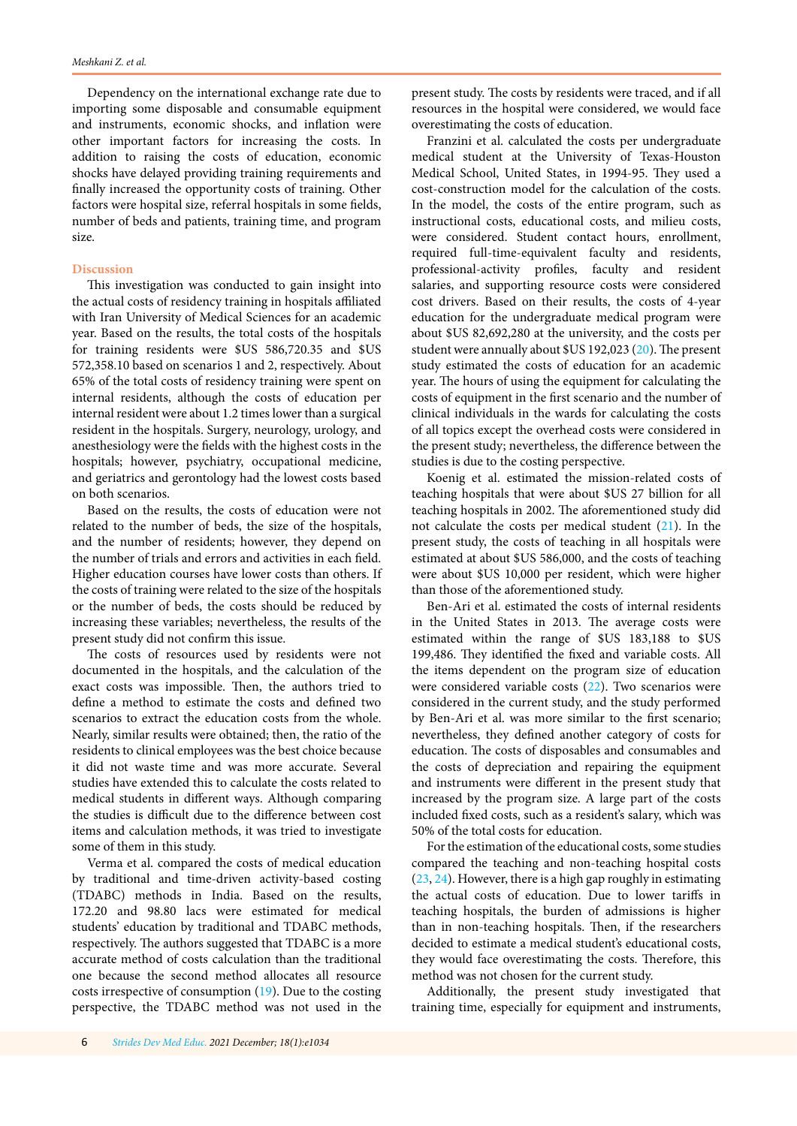Dependency on the international exchange rate due to importing some disposable and consumable equipment and instruments, economic shocks, and inflation were other important factors for increasing the costs. In addition to raising the costs of education, economic shocks have delayed providing training requirements and finally increased the opportunity costs of training. Other factors were hospital size, referral hospitals in some fields, number of beds and patients, training time, and program size.

### **Discussion**

This investigation was conducted to gain insight into the actual costs of residency training in hospitals affiliated with Iran University of Medical Sciences for an academic year. Based on the results, the total costs of the hospitals for training residents were \$US 586,720.35 and \$US 572,358.10 based on scenarios 1 and 2, respectively. About 65% of the total costs of residency training were spent on internal residents, although the costs of education per internal resident were about 1.2 times lower than a surgical resident in the hospitals. Surgery, neurology, urology, and anesthesiology were the fields with the highest costs in the hospitals; however, psychiatry, occupational medicine, and geriatrics and gerontology had the lowest costs based on both scenarios.

Based on the results, the costs of education were not related to the number of beds, the size of the hospitals, and the number of residents; however, they depend on the number of trials and errors and activities in each field. Higher education courses have lower costs than others. If the costs of training were related to the size of the hospitals or the number of beds, the costs should be reduced by increasing these variables; nevertheless, the results of the present study did not confirm this issue.

The costs of resources used by residents were not documented in the hospitals, and the calculation of the exact costs was impossible. Then, the authors tried to define a method to estimate the costs and defined two scenarios to extract the education costs from the whole. Nearly, similar results were obtained; then, the ratio of the residents to clinical employees was the best choice because it did not waste time and was more accurate. Several studies have extended this to calculate the costs related to medical students in different ways. Although comparing the studies is difficult due to the difference between cost items and calculation methods, it was tried to investigate some of them in this study.

Verma et al. compared the costs of medical education by traditional and time-driven activity-based costing (TDABC) methods in India. Based on the results, 172.20 and 98.80 lacs were estimated for medical students' education by traditional and TDABC methods, respectively. The authors suggested that TDABC is a more accurate method of costs calculation than the traditional one because the second method allocates all resource costs irrespective of consumption ([19](#page-7-0)). Due to the costing perspective, the TDABC method was not used in the present study. The costs by residents were traced, and if all resources in the hospital were considered, we would face overestimating the costs of education.

Franzini et al. calculated the costs per undergraduate medical student at the University of Texas-Houston Medical School, United States, in 1994-95. They used a cost-construction model for the calculation of the costs. In the model, the costs of the entire program, such as instructional costs, educational costs, and milieu costs, were considered. Student contact hours, enrollment, required full-time-equivalent faculty and residents, professional-activity profiles, faculty and resident salaries, and supporting resource costs were considered cost drivers. Based on their results, the costs of 4-year education for the undergraduate medical program were about \$US 82,692,280 at the university, and the costs per student were annually about \$US 192,023 [\(20](#page-7-0)). The present study estimated the costs of education for an academic year. The hours of using the equipment for calculating the costs of equipment in the first scenario and the number of clinical individuals in the wards for calculating the costs of all topics except the overhead costs were considered in the present study; nevertheless, the difference between the studies is due to the costing perspective.

Koenig et al. estimated the mission-related costs of teaching hospitals that were about \$US 27 billion for all teaching hospitals in 2002. The aforementioned study did not calculate the costs per medical student ([21\)](#page-7-0). In the present study, the costs of teaching in all hospitals were estimated at about \$US 586,000, and the costs of teaching were about \$US 10,000 per resident, which were higher than those of the aforementioned study.

Ben-Ari et al. estimated the costs of internal residents in the United States in 2013. The average costs were estimated within the range of \$US 183,188 to \$US 199,486. They identified the fixed and variable costs. All the items dependent on the program size of education were considered variable costs [\(22\)](#page-7-0). Two scenarios were considered in the current study, and the study performed by Ben-Ari et al. was more similar to the first scenario; nevertheless, they defined another category of costs for education. The costs of disposables and consumables and the costs of depreciation and repairing the equipment and instruments were different in the present study that increased by the program size. A large part of the costs included fixed costs, such as a resident's salary, which was 50% of the total costs for education.

For the estimation of the educational costs, some studies compared the teaching and non-teaching hospital costs [\(23, 24](#page-7-0)). However, there is a high gap roughly in estimating the actual costs of education. Due to lower tariffs in teaching hospitals, the burden of admissions is higher than in non-teaching hospitals. Then, if the researchers decided to estimate a medical student's educational costs, they would face overestimating the costs. Therefore, this method was not chosen for the current study.

Additionally, the present study investigated that training time, especially for equipment and instruments,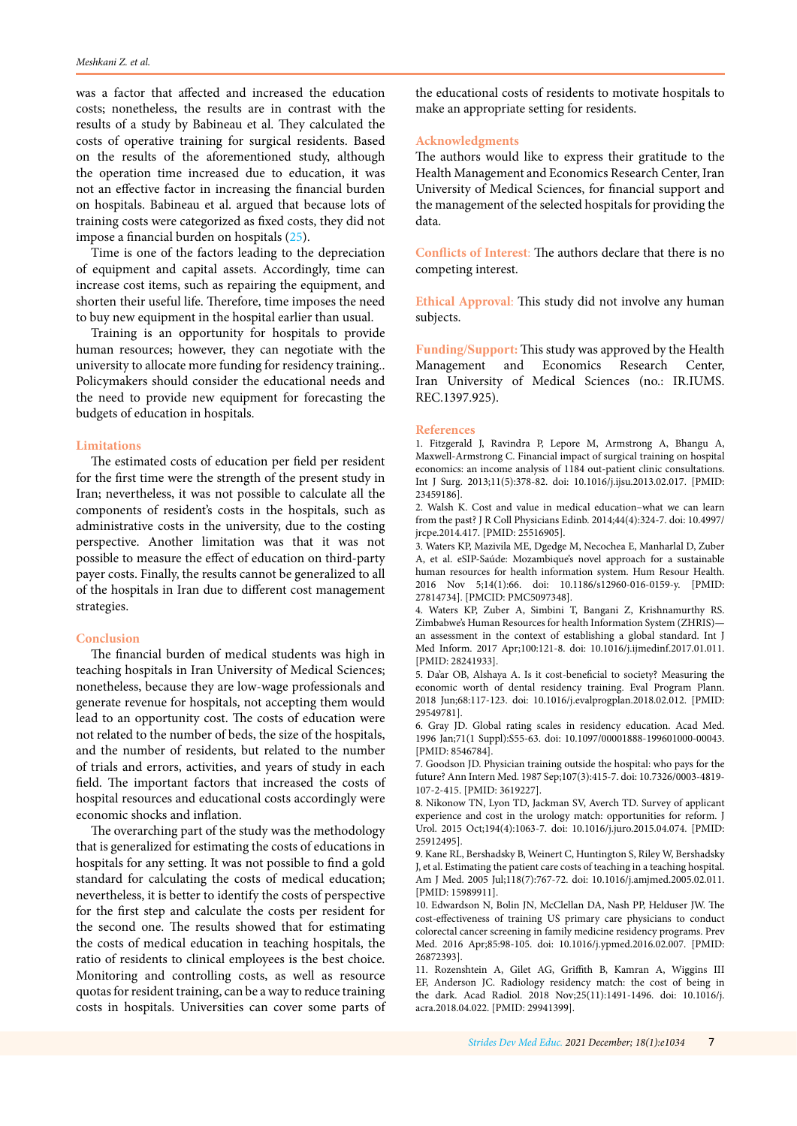<span id="page-6-0"></span>was a factor that affected and increased the education costs; nonetheless, the results are in contrast with the results of a study by Babineau et al. They calculated the costs of operative training for surgical residents. Based on the results of the aforementioned study, although the operation time increased due to education, it was not an effective factor in increasing the financial burden on hospitals. Babineau et al. argued that because lots of training costs were categorized as fixed costs, they did not impose a financial burden on hospitals [\(25](#page-7-0)).

Time is one of the factors leading to the depreciation of equipment and capital assets. Accordingly, time can increase cost items, such as repairing the equipment, and shorten their useful life. Therefore, time imposes the need to buy new equipment in the hospital earlier than usual.

Training is an opportunity for hospitals to provide human resources; however, they can negotiate with the university to allocate more funding for residency training.. Policymakers should consider the educational needs and the need to provide new equipment for forecasting the budgets of education in hospitals.

### **Limitations**

The estimated costs of education per field per resident for the first time were the strength of the present study in Iran; nevertheless, it was not possible to calculate all the components of resident's costs in the hospitals, such as administrative costs in the university, due to the costing perspective. Another limitation was that it was not possible to measure the effect of education on third-party payer costs. Finally, the results cannot be generalized to all of the hospitals in Iran due to different cost management strategies.

#### **Conclusion**

The financial burden of medical students was high in teaching hospitals in Iran University of Medical Sciences; nonetheless, because they are low-wage professionals and generate revenue for hospitals, not accepting them would lead to an opportunity cost. The costs of education were not related to the number of beds, the size of the hospitals, and the number of residents, but related to the number of trials and errors, activities, and years of study in each field. The important factors that increased the costs of hospital resources and educational costs accordingly were economic shocks and inflation.

The overarching part of the study was the methodology that is generalized for estimating the costs of educations in hospitals for any setting. It was not possible to find a gold standard for calculating the costs of medical education; nevertheless, it is better to identify the costs of perspective for the first step and calculate the costs per resident for the second one. The results showed that for estimating the costs of medical education in teaching hospitals, the ratio of residents to clinical employees is the best choice. Monitoring and controlling costs, as well as resource quotas for resident training, can be a way to reduce training costs in hospitals. Universities can cover some parts of the educational costs of residents to motivate hospitals to make an appropriate setting for residents.

#### **Acknowledgments**

The authors would like to express their gratitude to the Health Management and Economics Research Center, Iran University of Medical Sciences, for financial support and the management of the selected hospitals for providing the data.

**Conflicts of Interest**: The authors declare that there is no competing interest.

**Ethical Approval**: This study did not involve any human subjects.

**Funding/Support:** This study was approved by the Health Management and Economics Research Center, Iran University of Medical Sciences (no.: IR.IUMS. REC.1397.925).

#### **References**

1. Fitzgerald J, Ravindra P, Lepore M, Armstrong A, Bhangu A, Maxwell-Armstrong C. Financial impact of surgical training on hospital economics: an income analysis of 1184 out-patient clinic consultations. Int J Surg. 2013;11(5):378-82. doi: 10.1016/j.ijsu.2013.02.017. [PMID: 23459186].

2. Walsh K. Cost and value in medical education–what we can learn from the past? J R Coll Physicians Edinb. 2014;44(4):324-7. doi: 10.4997/ jrcpe.2014.417. [PMID: 25516905].

3. Waters KP, Mazivila ME, Dgedge M, Necochea E, Manharlal D, Zuber A, et al. eSIP-Saúde: Mozambique's novel approach for a sustainable human resources for health information system. Hum Resour Health. 2016 Nov 5;14(1):66. doi: 10.1186/s12960-016-0159-y. [PMID: 27814734]. [PMCID: PMC5097348].

4. Waters KP, Zuber A, Simbini T, Bangani Z, Krishnamurthy RS. Zimbabwe's Human Resources for health Information System (ZHRIS) an assessment in the context of establishing a global standard. Int J Med Inform. 2017 Apr;100:121-8. doi: 10.1016/j.ijmedinf.2017.01.011. [PMID: 28241933].

5. Da'ar OB, Alshaya A. Is it cost-beneficial to society? Measuring the economic worth of dental residency training. Eval Program Plann. 2018 Jun;68:117-123. doi: 10.1016/j.evalprogplan.2018.02.012. [PMID: 29549781].

6. Gray JD. Global rating scales in residency education. Acad Med. 1996 Jan;71(1 Suppl):S55-63. doi: 10.1097/00001888-199601000-00043. [PMID: 8546784].

7. Goodson JD. Physician training outside the hospital: who pays for the future? Ann Intern Med. 1987 Sep;107(3):415-7. doi: 10.7326/0003-4819- 107-2-415. [PMID: 3619227].

8. Nikonow TN, Lyon TD, Jackman SV, Averch TD. Survey of applicant experience and cost in the urology match: opportunities for reform. J Urol. 2015 Oct;194(4):1063-7. doi: 10.1016/j.juro.2015.04.074. [PMID: 25912495].

9. Kane RL, Bershadsky B, Weinert C, Huntington S, Riley W, Bershadsky J, et al. Estimating the patient care costs of teaching in a teaching hospital. Am J Med. 2005 Jul;118(7):767-72. doi: 10.1016/j.amjmed.2005.02.011. [PMID: 15989911].

10. Edwardson N, Bolin JN, McClellan DA, Nash PP, Helduser JW. The cost-effectiveness of training US primary care physicians to conduct colorectal cancer screening in family medicine residency programs. Prev Med. 2016 Apr;85:98-105. doi: 10.1016/j.ypmed.2016.02.007. [PMID: 26872393].

11. Rozenshtein A, Gilet AG, Griffith B, Kamran A, Wiggins III EF, Anderson JC. Radiology residency match: the cost of being in the dark. Acad Radiol. 2018 Nov;25(11):1491-1496. doi: 10.1016/j. acra.2018.04.022. [PMID: 29941399].